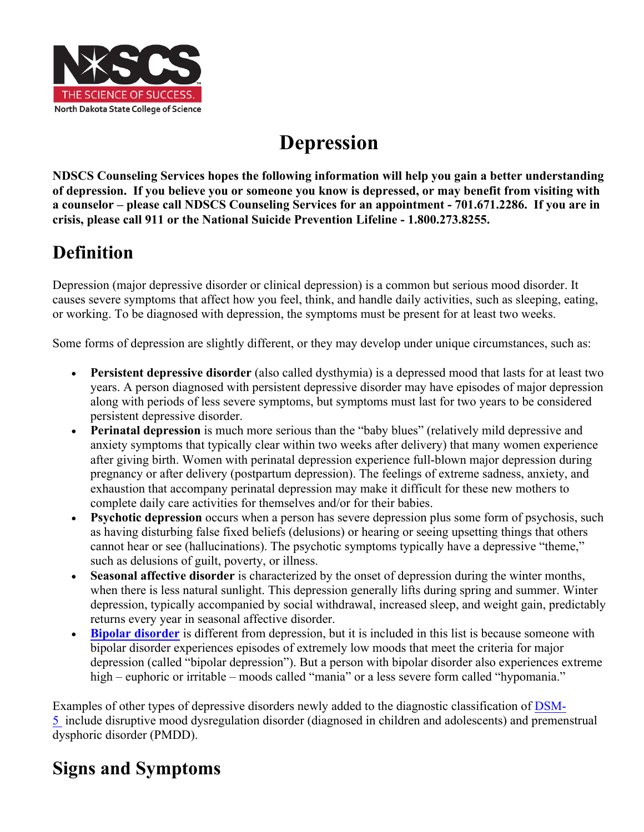

# **Depression**

**NDSCS Counseling Services hopes the following information will help you gain a better understanding of depression. If you believe you or someone you know is depressed, or may benefit from visiting with a counselor – please call NDSCS Counseling Services for an appointment - 701.671.2286. If you are in crisis, please call 911 or the National Suicide Prevention Lifeline - 1.800.273.8255.**

# **Definition**

Depression (major depressive disorder or clinical depression) is a common but serious mood disorder. It causes severe symptoms that affect how you feel, think, and handle daily activities, such as sleeping, eating, or working. To be diagnosed with depression, the symptoms must be present for at least two weeks.

Some forms of depression are slightly different, or they may develop under unique circumstances, such as:

- **Persistent depressive disorder** (also called dysthymia) is a depressed mood that lasts for at least two years. A person diagnosed with persistent depressive disorder may have episodes of major depression along with periods of less severe symptoms, but symptoms must last for two years to be considered persistent depressive disorder.
- **Perinatal depression** is much more serious than the "baby blues" (relatively mild depressive and anxiety symptoms that typically clear within two weeks after delivery) that many women experience after giving birth. Women with perinatal depression experience full-blown major depression during pregnancy or after delivery (postpartum depression). The feelings of extreme sadness, anxiety, and exhaustion that accompany perinatal depression may make it difficult for these new mothers to complete daily care activities for themselves and/or for their babies.
- **Psychotic depression** occurs when a person has severe depression plus some form of psychosis, such as having disturbing false fixed beliefs (delusions) or hearing or seeing upsetting things that others cannot hear or see (hallucinations). The psychotic symptoms typically have a depressive "theme," such as delusions of guilt, poverty, or illness.
- **Seasonal affective disorder** is characterized by the onset of depression during the winter months, when there is less natural sunlight. This depression generally lifts during spring and summer. Winter depression, typically accompanied by social withdrawal, increased sleep, and weight gain, predictably returns every year in seasonal affective disorder.
- **Bipolar disorder** is different from depression, but it is included in this list is because someone with bipolar disorder experiences episodes of extremely low moods that meet the criteria for major depression (called "bipolar depression"). But a person with bipolar disorder also experiences extreme high – euphoric or irritable – moods called "mania" or a less severe form called "hypomania."

Examples of other types of depressive disorders newly added to the diagnostic classification of DSM-5 include disruptive mood dysregulation disorder (diagnosed in children and adolescents) and premenstrual dysphoric disorder (PMDD).

# **Signs and Symptoms**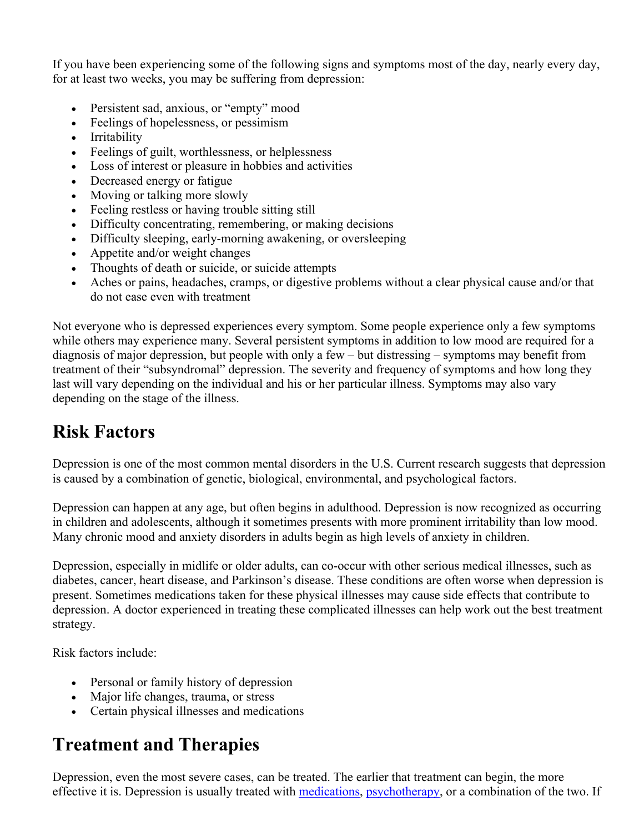If you have been experiencing some of the following signs and symptoms most of the day, nearly every day, for at least two weeks, you may be suffering from depression:

- Persistent sad, anxious, or "empty" mood
- Feelings of hopelessness, or pessimism
- Irritability
- Feelings of guilt, worthlessness, or helplessness
- Loss of interest or pleasure in hobbies and activities
- Decreased energy or fatigue
- Moving or talking more slowly
- Feeling restless or having trouble sitting still
- Difficulty concentrating, remembering, or making decisions
- Difficulty sleeping, early-morning awakening, or oversleeping
- Appetite and/or weight changes
- Thoughts of death or suicide, or suicide attempts
- Aches or pains, headaches, cramps, or digestive problems without a clear physical cause and/or that do not ease even with treatment

Not everyone who is depressed experiences every symptom. Some people experience only a few symptoms while others may experience many. Several persistent symptoms in addition to low mood are required for a diagnosis of major depression, but people with only a few – but distressing – symptoms may benefit from treatment of their "subsyndromal" depression. The severity and frequency of symptoms and how long they last will vary depending on the individual and his or her particular illness. Symptoms may also vary depending on the stage of the illness.

### **Risk Factors**

Depression is one of the most common mental disorders in the U.S. Current research suggests that depression is caused by a combination of genetic, biological, environmental, and psychological factors.

Depression can happen at any age, but often begins in adulthood. Depression is now recognized as occurring in children and adolescents, although it sometimes presents with more prominent irritability than low mood. Many chronic mood and anxiety disorders in adults begin as high levels of anxiety in children.

Depression, especially in midlife or older adults, can co-occur with other serious medical illnesses, such as diabetes, cancer, heart disease, and Parkinson's disease. These conditions are often worse when depression is present. Sometimes medications taken for these physical illnesses may cause side effects that contribute to depression. A doctor experienced in treating these complicated illnesses can help work out the best treatment strategy.

Risk factors include:

- Personal or family history of depression
- Major life changes, trauma, or stress
- Certain physical illnesses and medications

# **Treatment and Therapies**

Depression, even the most severe cases, can be treated. The earlier that treatment can begin, the more effective it is. Depression is usually treated with medications, psychotherapy, or a combination of the two. If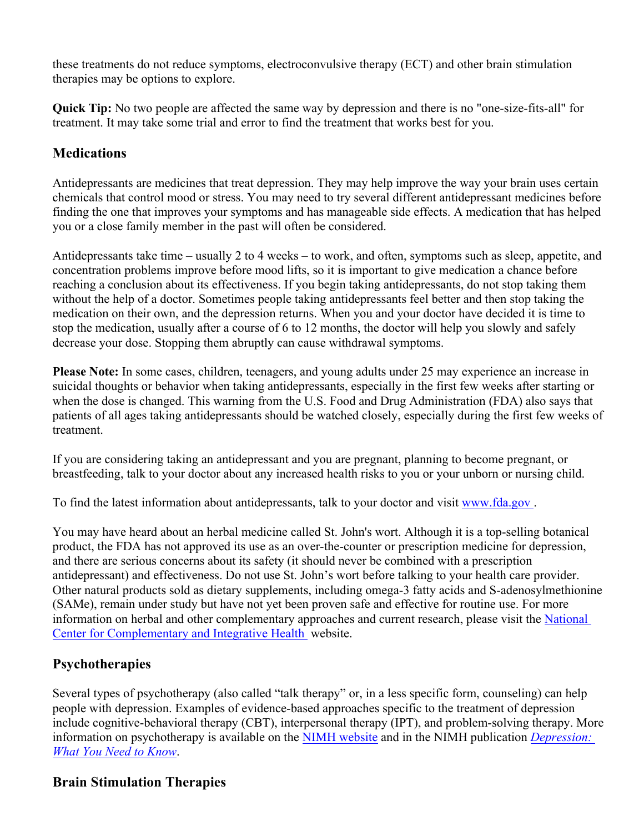these treatments do not reduce symptoms, electroconvulsive therapy (ECT) and other brain stimulation therapies may be options to explore.

**Quick Tip:** No two people are affected the same way by depression and there is no "one-size-fits-all" for treatment. It may take some trial and error to find the treatment that works best for you.

### **Medications**

Antidepressants are medicines that treat depression. They may help improve the way your brain uses certain chemicals that control mood or stress. You may need to try several different antidepressant medicines before finding the one that improves your symptoms and has manageable side effects. A medication that has helped you or a close family member in the past will often be considered.

Antidepressants take time – usually 2 to 4 weeks – to work, and often, symptoms such as sleep, appetite, and concentration problems improve before mood lifts, so it is important to give medication a chance before reaching a conclusion about its effectiveness. If you begin taking antidepressants, do not stop taking them without the help of a doctor. Sometimes people taking antidepressants feel better and then stop taking the medication on their own, and the depression returns. When you and your doctor have decided it is time to stop the medication, usually after a course of 6 to 12 months, the doctor will help you slowly and safely decrease your dose. Stopping them abruptly can cause withdrawal symptoms.

**Please Note:** In some cases, children, teenagers, and young adults under 25 may experience an increase in suicidal thoughts or behavior when taking antidepressants, especially in the first few weeks after starting or when the dose is changed. This warning from the U.S. Food and Drug Administration (FDA) also says that patients of all ages taking antidepressants should be watched closely, especially during the first few weeks of treatment.

If you are considering taking an antidepressant and you are pregnant, planning to become pregnant, or breastfeeding, talk to your doctor about any increased health risks to you or your unborn or nursing child.

To find the latest information about antidepressants, talk to your doctor and visit www.fda.gov .

You may have heard about an herbal medicine called St. John's wort. Although it is a top-selling botanical product, the FDA has not approved its use as an over-the-counter or prescription medicine for depression, and there are serious concerns about its safety (it should never be combined with a prescription antidepressant) and effectiveness. Do not use St. John's wort before talking to your health care provider. Other natural products sold as dietary supplements, including omega-3 fatty acids and S-adenosylmethionine (SAMe), remain under study but have not yet been proven safe and effective for routine use. For more information on herbal and other complementary approaches and current research, please visit the National Center for Complementary and Integrative Health website.

### **Psychotherapies**

Several types of psychotherapy (also called "talk therapy" or, in a less specific form, counseling) can help people with depression. Examples of evidence-based approaches specific to the treatment of depression include cognitive-behavioral therapy (CBT), interpersonal therapy (IPT), and problem-solving therapy. More information on psychotherapy is available on the NIMH website and in the NIMH publication *Depression: What You Need to Know*.

### **Brain Stimulation Therapies**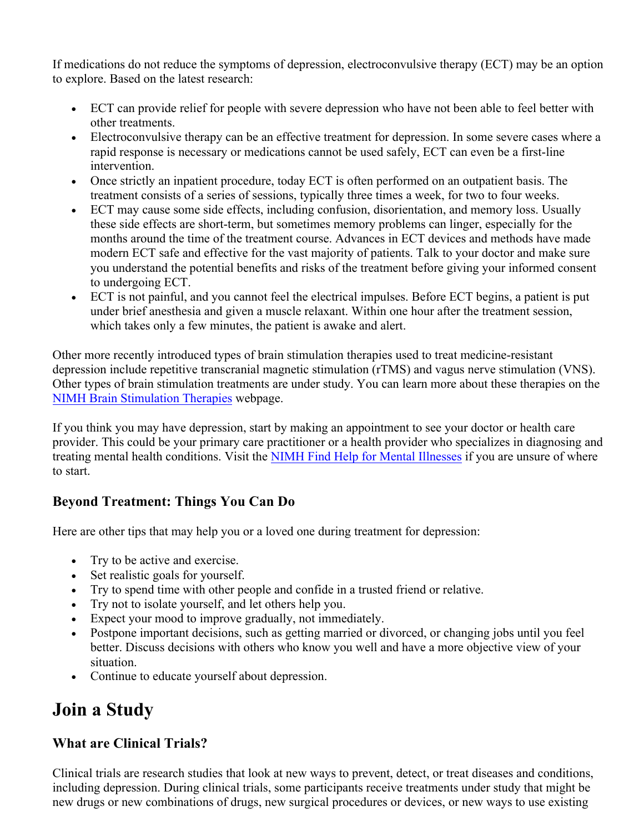If medications do not reduce the symptoms of depression, electroconvulsive therapy (ECT) may be an option to explore. Based on the latest research:

- ECT can provide relief for people with severe depression who have not been able to feel better with other treatments.
- Electroconvulsive therapy can be an effective treatment for depression. In some severe cases where a rapid response is necessary or medications cannot be used safely, ECT can even be a first-line intervention.
- Once strictly an inpatient procedure, today ECT is often performed on an outpatient basis. The treatment consists of a series of sessions, typically three times a week, for two to four weeks.
- ECT may cause some side effects, including confusion, disorientation, and memory loss. Usually these side effects are short-term, but sometimes memory problems can linger, especially for the months around the time of the treatment course. Advances in ECT devices and methods have made modern ECT safe and effective for the vast majority of patients. Talk to your doctor and make sure you understand the potential benefits and risks of the treatment before giving your informed consent to undergoing ECT.
- ECT is not painful, and you cannot feel the electrical impulses. Before ECT begins, a patient is put under brief anesthesia and given a muscle relaxant. Within one hour after the treatment session, which takes only a few minutes, the patient is awake and alert.

Other more recently introduced types of brain stimulation therapies used to treat medicine-resistant depression include repetitive transcranial magnetic stimulation (rTMS) and vagus nerve stimulation (VNS). Other types of brain stimulation treatments are under study. You can learn more about these therapies on the NIMH Brain Stimulation Therapies webpage.

If you think you may have depression, start by making an appointment to see your doctor or health care provider. This could be your primary care practitioner or a health provider who specializes in diagnosing and treating mental health conditions. Visit the NIMH Find Help for Mental Illnesses if you are unsure of where to start.

### **Beyond Treatment: Things You Can Do**

Here are other tips that may help you or a loved one during treatment for depression:

- Try to be active and exercise.
- Set realistic goals for yourself.
- Try to spend time with other people and confide in a trusted friend or relative.
- Try not to isolate yourself, and let others help you.
- Expect your mood to improve gradually, not immediately.
- Postpone important decisions, such as getting married or divorced, or changing jobs until you feel better. Discuss decisions with others who know you well and have a more objective view of your situation.
- Continue to educate yourself about depression.

# **Join a Study**

### **What are Clinical Trials?**

Clinical trials are research studies that look at new ways to prevent, detect, or treat diseases and conditions, including depression. During clinical trials, some participants receive treatments under study that might be new drugs or new combinations of drugs, new surgical procedures or devices, or new ways to use existing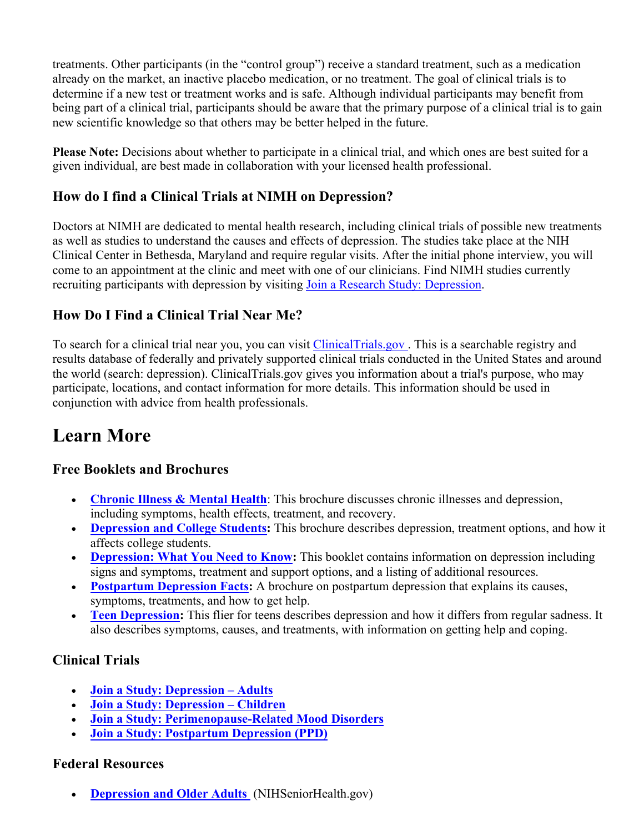treatments. Other participants (in the "control group") receive a standard treatment, such as a medication already on the market, an inactive placebo medication, or no treatment. The goal of clinical trials is to determine if a new test or treatment works and is safe. Although individual participants may benefit from being part of a clinical trial, participants should be aware that the primary purpose of a clinical trial is to gain new scientific knowledge so that others may be better helped in the future.

**Please Note:** Decisions about whether to participate in a clinical trial, and which ones are best suited for a given individual, are best made in collaboration with your licensed health professional.

### **How do I find a Clinical Trials at NIMH on Depression?**

Doctors at NIMH are dedicated to mental health research, including clinical trials of possible new treatments as well as studies to understand the causes and effects of depression. The studies take place at the NIH Clinical Center in Bethesda, Maryland and require regular visits. After the initial phone interview, you will come to an appointment at the clinic and meet with one of our clinicians. Find NIMH studies currently recruiting participants with depression by visiting Join a Research Study: Depression.

### **How Do I Find a Clinical Trial Near Me?**

To search for a clinical trial near you, you can visit ClinicalTrials.gov . This is a searchable registry and results database of federally and privately supported clinical trials conducted in the United States and around the world (search: depression). ClinicalTrials.gov gives you information about a trial's purpose, who may participate, locations, and contact information for more details. This information should be used in conjunction with advice from health professionals.

### **Learn More**

#### **Free Booklets and Brochures**

- **Chronic Illness & Mental Health**: This brochure discusses chronic illnesses and depression, including symptoms, health effects, treatment, and recovery.
- **Depression and College Students:** This brochure describes depression, treatment options, and how it affects college students.
- **Depression: What You Need to Know:** This booklet contains information on depression including signs and symptoms, treatment and support options, and a listing of additional resources.
- **Postpartum Depression Facts:** A brochure on postpartum depression that explains its causes, symptoms, treatments, and how to get help.
- **Teen Depression:** This flier for teens describes depression and how it differs from regular sadness. It also describes symptoms, causes, and treatments, with information on getting help and coping.

### **Clinical Trials**

- **Join a Study: Depression – Adults**
- **Join a Study: Depression – Children**
- **Join a Study: Perimenopause-Related Mood Disorders**
- **Join a Study: Postpartum Depression (PPD)**

#### **Federal Resources**

• **Depression and Older Adults** (NIHSeniorHealth.gov)